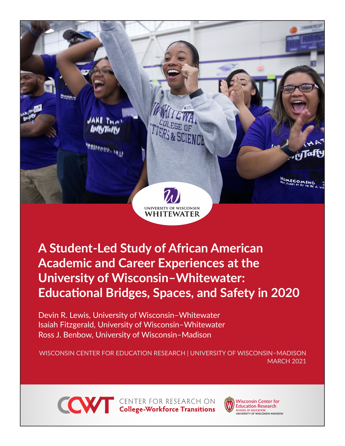

**A Student-Led Study of African American Academic and Career Experiences at the University of Wisconsin–Whitewater: Educational Bridges, Spaces, and Safety in 2020**

Devin R. Lewis, University of Wisconsin–Whitewater Isaiah Fitzgerald, University of Wisconsin–Whitewater Ross J. Benbow, University of Wisconsin–Madison

WISCONSIN CENTER FOR EDUCATION RESEARCH | UNIVERSITY OF WISCONSIN–MADISON MARCH 2021



**CONTER FOR RESEARCH ON College-Workforce Transitions** 



**Wisconsin Center for Education Research** SCHOOL OF EDUCATION<br>UNIVERSITY OF WISCONSIN-MADISON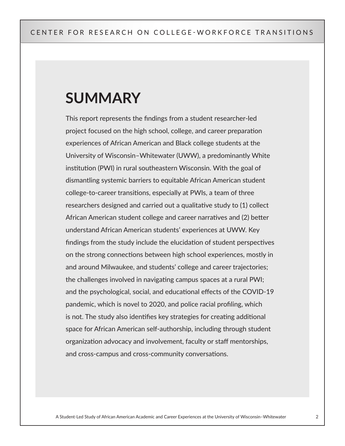# **SUMMARY**

This report represents the findings from a student researcher-led project focused on the high school, college, and career preparation experiences of African American and Black college students at the University of Wisconsin–Whitewater (UWW), a predominantly White institution (PWI) in rural southeastern Wisconsin. With the goal of dismantling systemic barriers to equitable African American student college-to-career transitions, especially at PWIs, a team of three researchers designed and carried out a qualitative study to (1) collect African American student college and career narratives and (2) better understand African American students' experiences at UWW. Key findings from the study include the elucidation of student perspectives on the strong connections between high school experiences, mostly in and around Milwaukee, and students' college and career trajectories; the challenges involved in navigating campus spaces at a rural PWI; and the psychological, social, and educational effects of the COVID-19 pandemic, which is novel to 2020, and police racial profiling, which is not. The study also identifies key strategies for creating additional space for African American self-authorship, including through student organization advocacy and involvement, faculty or staff mentorships, and cross-campus and cross-community conversations.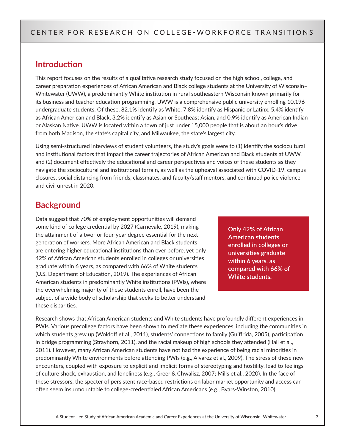## **Introduction**

This report focuses on the results of a qualitative research study focused on the high school, college, and career preparation experiences of African American and Black college students at the University of Wisconsin– Whitewater (UWW), a predominantly White institution in rural southeastern Wisconsin known primarily for its business and teacher education programming. UWW is a comprehensive public university enrolling 10,196 undergraduate students. Of these, 82.1% identify as White, 7.8% identify as Hispanic or Latinx, 5.4% identify as African American and Black, 3.2% identify as Asian or Southeast Asian, and 0.9% identify as American Indian or Alaskan Native. UWW is located within a town of just under 15,000 people that is about an hour's drive from both Madison, the state's capital city, and Milwaukee, the state's largest city.

Using semi-structured interviews of student volunteers, the study's goals were to (1) identify the sociocultural and institutional factors that impact the career trajectories of African American and Black students at UWW, and (2) document effectively the educational and career perspectives and voices of these students as they navigate the sociocultural and institutional terrain, as well as the upheaval associated with COVID-19, campus closures, social distancing from friends, classmates, and faculty/staff mentors, and continued police violence and civil unrest in 2020.

# **Background**

Data suggest that 70% of employment opportunities will demand some kind of college credential by 2027 (Carnevale, 2019), making the attainment of a two- or four-year degree essential for the next generation of workers. More African American and Black students are entering higher educational institutions than ever before, yet only 42% of African American students enrolled in colleges or universities graduate within 6 years, as compared with 66% of White students (U.S. Department of Education, 2019). The experiences of African American students in predominantly White institutions (PWIs), where the overwhelming majority of these students enroll, have been the subject of a wide body of scholarship that seeks to better understand these disparities.

**Only 42% of African American students enrolled in colleges or universities graduate within 6 years, as compared with 66% of White students.**

Research shows that African American students and White students have profoundly different experiences in PWIs. Various precollege factors have been shown to mediate these experiences, including the communities in which students grew up (Woldoff et al., 2011), students' connections to family (Guiffrida, 2005), participation in bridge programming (Strayhorn, 2011), and the racial makeup of high schools they attended (Hall et al., 2011). However, many African American students have not had the experience of being racial minorities in predominantly White environments before attending PWIs (e.g., Alvarez et al., 2009). The stress of these new encounters, coupled with exposure to explicit and implicit forms of stereotyping and hostility, lead to feelings of culture shock, exhaustion, and loneliness (e.g., Greer & Chwalisz, 2007; Mills et al., 2020). In the face of these stressors, the specter of persistent race-based restrictions on labor market opportunity and access can often seem insurmountable to college-credentialed African Americans (e.g., Byars-Winston, 2010).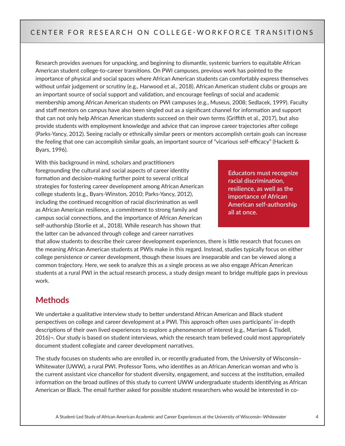Research provides avenues for unpacking, and beginning to dismantle, systemic barriers to equitable African American student college-to-career transitions. On PWI campuses, previous work has pointed to the importance of physical and social spaces where African American students can comfortably express themselves without unfair judgement or scrutiny (e.g., Harwood et al., 2018). African American student clubs or groups are an important source of social support and validation, and encourage feelings of social and academic membership among African American students on PWI campuses (e.g., Museus, 2008; Sedlacek, 1999). Faculty and staff mentors on campus have also been singled out as a significant channel for information and support that can not only help African American students succeed on their own terms (Griffith et al., 2017), but also provide students with employment knowledge and advice that can improve career trajectories after college (Parks-Yancy, 2012). Seeing racially or ethnically similar peers or mentors accomplish certain goals can increase the feeling that one can accomplish similar goals, an important source of "vicarious self-efficacy" (Hackett & Byars, 1996).

With this background in mind, scholars and practitioners foregrounding the cultural and social aspects of career identity formation and decision-making further point to several critical strategies for fostering career development among African American college students (e.g., Byars-Winston, 2010; Parks-Yancy, 2012), including the continued recognition of racial discrimination as well as African American resilience, a commitment to strong family and campus social connections, and the importance of African American self-authorship (Storlie et al., 2018). While research has shown that the latter can be advanced through college and career narratives

**Educators must recognize racial discrimination, resilience, as well as the importance of African American self-authorship all at once.**

that allow students to describe their career development experiences, there is little research that focuses on the meaning African American students at PWIs make in this regard. Instead, studies typically focus on either college persistence or career development, though these issues are inseparable and can be viewed along a common trajectory. Here, we seek to analyze this as a single process as we also engage African American students at a rural PWI in the actual research process, a study design meant to bridge multiple gaps in previous work.

## **Methods**

We undertake a qualitative interview study to better understand African American and Black student perspectives on college and career development at a PWI. This approach often uses participants' in-depth descriptions of their own lived experiences to explore a phenomenon of interest (e.g., Marriam & Tisdell, 2016)¬. Our study is based on student interviews, which the research team believed could most appropriately document student collegiate and career development narratives.

The study focuses on students who are enrolled in, or recently graduated from, the University of Wisconsin– Whitewater (UWW), a rural PWI. Professor Toms, who identifies as an African American woman and who is the current assistant vice chancellor for student diversity, engagement, and success at the institution, emailed information on the broad outlines of this study to current UWW undergraduate students identifying as African American or Black. The email further asked for possible student researchers who would be interested in co-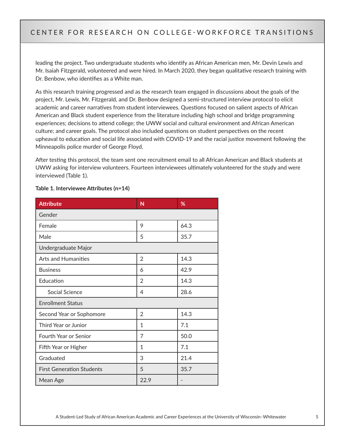leading the project. Two undergraduate students who identify as African American men, Mr. Devin Lewis and Mr. Isaiah Fitzgerald, volunteered and were hired. In March 2020, they began qualitative research training with Dr. Benbow, who identifies as a White man.

As this research training progressed and as the research team engaged in discussions about the goals of the project, Mr. Lewis, Mr. Fitzgerald, and Dr. Benbow designed a semi-structured interview protocol to elicit academic and career narratives from student interviewees. Questions focused on salient aspects of African American and Black student experience from the literature including high school and bridge programming experiences; decisions to attend college; the UWW social and cultural environment and African American culture; and career goals. The protocol also included questions on student perspectives on the recent upheaval to education and social life associated with COVID-19 and the racial justice movement following the Minneapolis police murder of George Floyd.

After testing this protocol, the team sent one recruitment email to all African American and Black students at UWW asking for interview volunteers. Fourteen interviewees ultimately volunteered for the study and were interviewed (Table 1).

| <b>Attribute</b>                 | N              | %    |
|----------------------------------|----------------|------|
| Gender                           |                |      |
| Female                           | 9              | 64.3 |
| Male                             | 5              | 35.7 |
| Undergraduate Major              |                |      |
| <b>Arts and Humanities</b>       | $\overline{2}$ | 14.3 |
| <b>Business</b>                  | 6              | 42.9 |
| Education                        | 2              | 14.3 |
| Social Science                   | 4              | 28.6 |
| <b>Enrollment Status</b>         |                |      |
| Second Year or Sophomore         | $\overline{2}$ | 14.3 |
| Third Year or Junior             | 1              | 7.1  |
| Fourth Year or Senior            | 7              | 50.0 |
| Fifth Year or Higher             | 1              | 7.1  |
| Graduated                        | 3              | 21.4 |
| <b>First Generation Students</b> | 5              | 35.7 |
| Mean Age                         | 22.9           |      |

#### **Table 1. Interviewee Attributes (n=14)**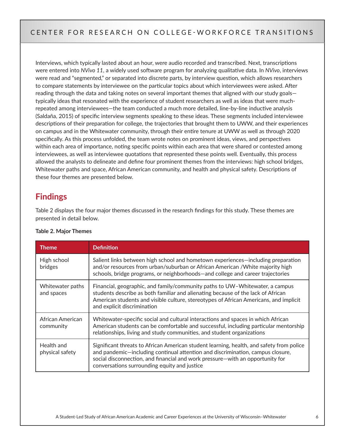Interviews, which typically lasted about an hour, were audio recorded and transcribed. Next, transcriptions were entered into *NVivo 11*, a widely used software program for analyzing qualitative data. In *NVivo*, interviews were read and "segmented," or separated into discrete parts, by interview question, which allows researchers to compare statements by interviewee on the particular topics about which interviewees were asked. After reading through the data and taking notes on several important themes that aligned with our study goals typically ideas that resonated with the experience of student researchers as well as ideas that were muchrepeated among interviewees—the team conducted a much more detailed, line-by-line inductive analysis (Saldaña, 2015) of specific interview segments speaking to these ideas. These segments included interviewee descriptions of their preparation for college, the trajectories that brought them to UWW, and their experiences on campus and in the Whitewater community, through their entire tenure at UWW as well as through 2020 specifically. As this process unfolded, the team wrote notes on prominent ideas, views, and perspectives within each area of importance, noting specific points within each area that were shared or contested among interviewees, as well as interviewee quotations that represented these points well. Eventually, this process allowed the analysts to delineate and define four prominent themes from the interviews: high school bridges, Whitewater paths and space, African American community, and health and physical safety. Descriptions of these four themes are presented below.

# **Findings**

Table 2 displays the four major themes discussed in the research findings for this study. These themes are presented in detail below.

| <b>Theme</b>                   | <b>Definition</b>                                                                                                                                                                                                                                                                                           |
|--------------------------------|-------------------------------------------------------------------------------------------------------------------------------------------------------------------------------------------------------------------------------------------------------------------------------------------------------------|
| High school<br>bridges         | Salient links between high school and hometown experiences—including preparation<br>and/or resources from urban/suburban or African American /White majority high<br>schools, bridge programs, or neighborhoods—and college and career trajectories                                                         |
| Whitewater paths<br>and spaces | Financial, geographic, and family/community paths to UW-Whitewater, a campus<br>students describe as both familiar and alienating because of the lack of African<br>American students and visible culture, stereotypes of African Americans, and implicit<br>and explicit discrimination                    |
| African American<br>community  | Whitewater-specific social and cultural interactions and spaces in which African<br>American students can be comfortable and successful, including particular mentorship<br>relationships, living and study communities, and student organizations                                                          |
| Health and<br>physical safety  | Significant threats to African American student learning, health, and safety from police<br>and pandemic-including continual attention and discrimination, campus closure,<br>social disconnection, and financial and work pressure-with an opportunity for<br>conversations surrounding equity and justice |

#### **Table 2. Major Themes**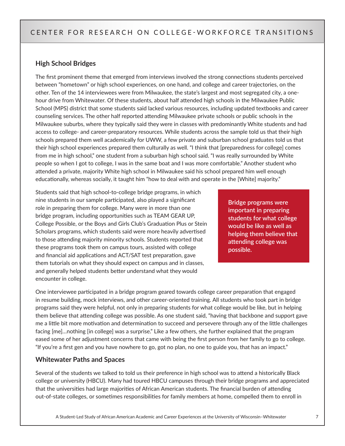#### **High School Bridges**

The first prominent theme that emerged from interviews involved the strong connections students perceived between "hometown" or high school experiences, on one hand, and college and career trajectories, on the other. Ten of the 14 interviewees were from Milwaukee, the state's largest and most segregated city, a onehour drive from Whitewater. Of these students, about half attended high schools in the Milwaukee Public School (MPS) district that some students said lacked various resources, including updated textbooks and career counseling services. The other half reported attending Milwaukee private schools or public schools in the Milwaukee suburbs, where they typically said they were in classes with predominantly White students and had access to college- and career-preparatory resources. While students across the sample told us that their high schools prepared them well academically for UWW, a few private and suburban school graduates told us that their high school experiences prepared them culturally as well. "I think that [preparedness for college] comes from me in high school," one student from a suburban high school said. "I was really surrounded by White people so when I got to college, I was in the same boat and I was more comfortable." Another student who attended a private, majority White high school in Milwaukee said his school prepared him well enough educationally, whereas socially, it taught him "how to deal with and operate in the [White] majority."

Students said that high school-to-college bridge programs, in which nine students in our sample participated, also played a significant role in preparing them for college. Many were in more than one bridge program, including opportunities such as TEAM GEAR UP, College Possible, or the Boys and Girls Club's Graduation Plus or Stein Scholars programs, which students said were more heavily advertised to those attending majority minority schools. Students reported that these programs took them on campus tours, assisted with college and financial aid applications and ACT/SAT test preparation, gave them tutorials on what they should expect on campus and in classes, and generally helped students better understand what they would encounter in college.

**Bridge programs were important in preparing students for what college would be like as well as helping them believe that attending college was possible.**

One interviewee participated in a bridge program geared towards college career preparation that engaged in resume building, mock interviews, and other career-oriented training. All students who took part in bridge programs said they were helpful, not only in preparing students for what college would be like, but in helping them believe that attending college was possible. As one student said, "having that backbone and support gave me a little bit more motivation and determination to succeed and persevere through any of the little challenges facing [me]…nothing [in college] was a surprise." Like a few others, she further explained that the program eased some of her adjustment concerns that came with being the first person from her family to go to college. "If you're a first gen and you have nowhere to go, got no plan, no one to guide you, that has an impact."

#### **Whitewater Paths and Spaces**

Several of the students we talked to told us their preference in high school was to attend a historically Black college or university (HBCU). Many had toured HBCU campuses through their bridge programs and appreciated that the universities had large majorities of African American students. The financial burden of attending out-of-state colleges, or sometimes responsibilities for family members at home, compelled them to enroll in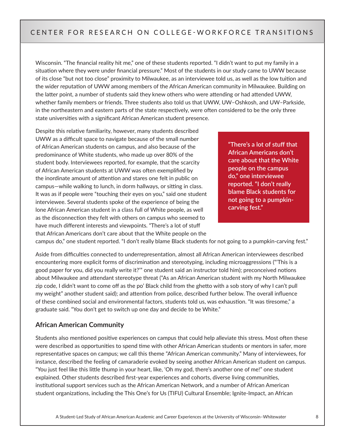Wisconsin. "The financial reality hit me," one of these students reported. "I didn't want to put my family in a situation where they were under financial pressure." Most of the students in our study came to UWW because of its close "but not too close" proximity to Milwaukee, as an interviewee told us, as well as the low tuition and the wider reputation of UWW among members of the African American community in Milwaukee. Building on the latter point, a number of students said they knew others who were attending or had attended UWW, whether family members or friends. Three students also told us that UWW, UW–Oshkosh, and UW–Parkside, in the northeastern and eastern parts of the state respectively, were often considered to be the only three state universities with a significant African American student presence.

Despite this relative familiarity, however, many students described UWW as a difficult space to navigate because of the small number of African American students on campus, and also because of the predominance of White students, who made up over 80% of the student body. Interviewees reported, for example, that the scarcity of African American students at UWW was often exemplified by the inordinate amount of attention and stares one felt in public on campus—while walking to lunch, in dorm hallways, or sitting in class. It was as if people were "touching their eyes on you," said one student interviewee. Several students spoke of the experience of being the lone African American student in a class full of White people, as well as the disconnection they felt with others on campus who seemed to have much different interests and viewpoints. "There's a lot of stuff that African Americans don't care about that the White people on the

**"There's a lot of stuff that African Americans don't care about that the White people on the campus do," one interviewee reported. "I don't really blame Black students for not going to a pumpkincarving fest."**

campus do," one student reported. "I don't really blame Black students for not going to a pumpkin-carving fest."

Aside from difficulties connected to underrepresentation, almost all African American interviewees described encountering more explicit forms of discrimination and stereotyping, including microaggressions ("'This is a good paper for you, did you really write it?'" one student said an instructor told him); preconceived notions about Milwaukee and attendant stereotype threat ("As an African American student with my North Milwaukee zip code, I didn't want to come off as the po' Black child from the ghetto with a sob story of why I can't pull my weight" another student said); and attention from police, described further below. The overall influence of these combined social and environmental factors, students told us, was exhaustion. "It was tiresome," a graduate said. "You don't get to switch up one day and decide to be White."

#### **African American Community**

Students also mentioned positive experiences on campus that could help alleviate this stress. Most often these were described as opportunities to spend time with other African American students or mentors in safer, more representative spaces on campus; we call this theme "African American community." Many of interviewees, for instance, described the feeling of camaraderie evoked by seeing another African American student on campus. "You just feel like this little thump in your heart, like, 'Oh my god, there's another one of me!" one student explained. Other students described first-year experiences and cohorts, diverse living communities, institutional support services such as the African American Network, and a number of African American student organizations, including the This One's for Us (TIFU) Cultural Ensemble; Ignite-Impact, an African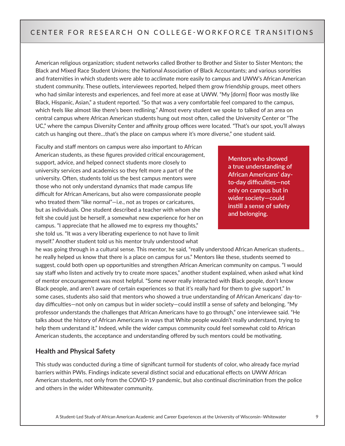American religious organization; student networks called Brother to Brother and Sister to Sister Mentors; the Black and Mixed Race Student Unions; the National Association of Black Accountants; and various sororities and fraternities in which students were able to acclimate more easily to campus and UWW's African American student community. These outlets, interviewees reported, helped them grow friendship groups, meet others who had similar interests and experiences, and feel more at ease at UWW. "My [dorm] floor was mostly like Black, Hispanic, Asian," a student reported. "So that was a very comfortable feel compared to the campus, which feels like almost like there's been redlining." Almost every student we spoke to talked of an area on central campus where African American students hung out most often, called the University Center or "The UC," where the campus Diversity Center and affinity group offices were located. "That's our spot, you'll always catch us hanging out there…that's the place on campus where it's more diverse," one student said.

Faculty and staff mentors on campus were also important to African American students, as these figures provided critical encouragement, support, advice, and helped connect students more closely to university services and academics so they felt more a part of the university. Often, students told us the best campus mentors were those who not only understand dynamics that made campus life difficult for African Americans, but also were compassionate people who treated them "like normal"—i.e., not as tropes or caricatures, but as individuals. One student described a teacher with whom she felt she could just be herself, a somewhat new experience for her on campus. "I appreciate that he allowed me to express my thoughts," she told us. "It was a very liberating experience to not have to limit myself." Another student told us his mentor truly understood what

**Mentors who showed a true understanding of African Americans' dayto-day difficulties—not only on campus but in wider society—could instill a sense of safety and belonging.**

he was going through in a cultural sense. This mentor, he said, "really understood African American students… he really helped us know that there is a place on campus for us." Mentors like these, students seemed to suggest, could both open up opportunities and strengthen African American community on campus. "I would say staff who listen and actively try to create more spaces," another student explained, when asked what kind of mentor encouragement was most helpful. "Some never really interacted with Black people, don't know Black people, and aren't aware of certain experiences so that it's really hard for them to give support." In some cases, students also said that mentors who showed a true understanding of African Americans' day-today difficulties—not only on campus but in wider society—could instill a sense of safety and belonging. "My professor understands the challenges that African Americans have to go through," one interviewee said. "He talks about the history of African Americans in ways that White people wouldn't really understand, trying to help them understand it." Indeed, while the wider campus community could feel somewhat cold to African American students, the acceptance and understanding offered by such mentors could be motivating.

#### **Health and Physical Safety**

This study was conducted during a time of significant turmoil for students of color, who already face myriad barriers within PWIs. Findings indicate several distinct social and educational effects on UWW African American students, not only from the COVID-19 pandemic, but also continual discrimination from the police and others in the wider Whitewater community.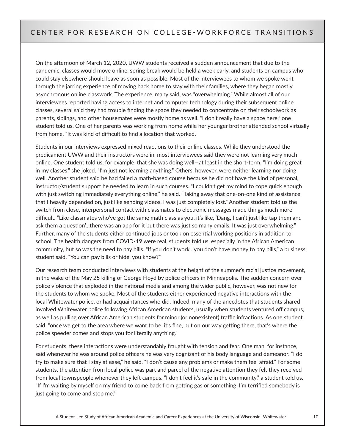On the afternoon of March 12, 2020, UWW students received a sudden announcement that due to the pandemic, classes would move online, spring break would be held a week early, and students on campus who could stay elsewhere should leave as soon as possible. Most of the interviewees to whom we spoke went through the jarring experience of moving back home to stay with their families, where they began mostly asynchronous online classwork. The experience, many said, was "overwhelming." While almost all of our interviewees reported having access to internet and computer technology during their subsequent online classes, several said they had trouble finding the space they needed to concentrate on their schoolwork as parents, siblings, and other housemates were mostly home as well. "I don't really have a space here," one student told us. One of her parents was working from home while her younger brother attended school virtually from home. "It was kind of difficult to find a location that worked."

Students in our interviews expressed mixed reactions to their online classes. While they understood the predicament UWW and their instructors were in, most interviewees said they were not learning very much online. One student told us, for example, that she was doing well—at least in the short-term. "I'm doing great in my classes," she joked. "I'm just not learning anything." Others, however, were neither learning nor doing well. Another student said he had failed a math-based course because he did not have the kind of personal, instructor/student support he needed to learn in such courses. "I couldn't get my mind to cope quick enough with just switching immediately everything online," he said. "Taking away that one-on-one kind of assistance that I heavily depended on, just like sending videos, I was just completely lost." Another student told us the switch from close, interpersonal contact with classmates to electronic messages made things much more difficult. "Like classmates who've got the same math class as you, it's like, 'Dang, I can't just like tap them and ask them a question'…there was an app for it but there was just so many emails. It was just overwhelming." Further, many of the students either continued jobs or took on essential working positions in addition to school. The health dangers from COVID-19 were real, students told us, especially in the African American community, but so was the need to pay bills. "If you don't work…you don't have money to pay bills," a business student said. "You can pay bills or hide, you know?"

Our research team conducted interviews with students at the height of the summer's racial justice movement, in the wake of the May 25 killing of George Floyd by police officers in Minneapolis. The sudden concern over police violence that exploded in the national media and among the wider public, however, was not new for the students to whom we spoke. Most of the students either experienced negative interactions with the local Whitewater police, or had acquaintances who did. Indeed, many of the anecdotes that students shared involved Whitewater police following African American students, usually when students ventured off campus, as well as pulling over African American students for minor (or nonexistent) traffic infractions. As one student said, "once we get to the area where we want to be, it's fine, but on our way getting there, that's where the police speeder comes and stops you for literally anything."

For students, these interactions were understandably fraught with tension and fear. One man, for instance, said whenever he was around police officers he was very cognizant of his body language and demeanor. "I do try to make sure that I stay at ease," he said. "I don't cause any problems or make them feel afraid." For some students, the attention from local police was part and parcel of the negative attention they felt they received from local townspeople whenever they left campus. "I don't feel it's safe in the community," a student told us. "If I'm waiting by myself on my friend to come back from getting gas or something, I'm terrified somebody is just going to come and stop me."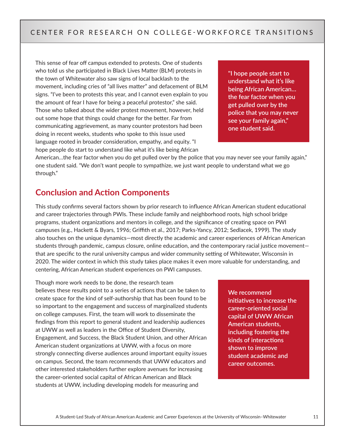This sense of fear off campus extended to protests. One of students who told us she participated in Black Lives Matter (BLM) protests in the town of Whitewater also saw signs of local backlash to the movement, including cries of "all lives matter" and defacement of BLM signs. "I've been to protests this year, and I cannot even explain to you the amount of fear I have for being a peaceful protestor," she said. Those who talked about the wider protest movement, however, held out some hope that things could change for the better. Far from communicating aggrievement, as many counter protestors had been doing in recent weeks, students who spoke to this issue used language rooted in broader consideration, empathy, and equity. "I hope people do start to understand like what it's like being African

**"I hope people start to understand what it's like being African American… the fear factor when you get pulled over by the police that you may never see your family again," one student said.**

American…the fear factor when you do get pulled over by the police that you may never see your family again," one student said. "We don't want people to sympathize, we just want people to understand what we go through."

## **Conclusion and Action Components**

This study confirms several factors shown by prior research to influence African American student educational and career trajectories through PWIs. These include family and neighborhood roots, high school bridge programs, student organizations and mentors in college, and the significance of creating space on PWI campuses (e.g., Hackett & Byars, 1996; Griffith et al., 2017; Parks-Yancy, 2012; Sedlacek, 1999). The study also touches on the unique dynamics—most directly the academic and career experiences of African American students through pandemic, campus closure, online education, and the contemporary racial justice movement that are specific to the rural university campus and wider community setting of Whitewater, Wisconsin in 2020. The wider context in which this study takes place makes it even more valuable for understanding, and centering, African American student experiences on PWI campuses.

Though more work needs to be done, the research team believes these results point to a series of actions that can be taken to create space for the kind of self-authorship that has been found to be so important to the engagement and success of marginalized students on college campuses. First, the team will work to disseminate the findings from this report to general student and leadership audiences at UWW as well as leaders in the Office of Student Diversity, Engagement, and Success, the Black Student Union, and other African American student organizations at UWW, with a focus on more strongly connecting diverse audiences around important equity issues on campus. Second, the team recommends that UWW educators and other interested stakeholders further explore avenues for increasing the career-oriented social capital of African American and Black students at UWW, including developing models for measuring and

#### **We recommend initiatives to increase the career-oriented social capital of UWW African American students, including fostering the kinds of interactions shown to improve student academic and career outcomes.**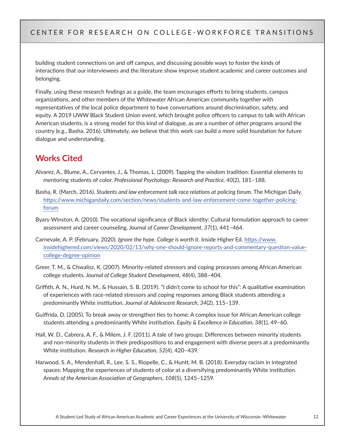building student connections on and off campus, and discussing possible ways to foster the kinds of interactions that our interviewees and the literature show improve student academic and career outcomes and belonging.

Finally, using these research findings as a guide, the team encourages efforts to bring students, campus organizations, and other members of the Whitewater African American community together with representatives of the local police department to have conversations around discrimination, safety, and equity. A 2019 UWW Black Student Union event, which brought police officers to campus to talk with African American students, is a strong model for this kind of dialogue, as are a number of other programs around the country (e.g., Basha, 2016). Ultimately, we believe that this work can build a more solid foundation for future dialogue and understanding.

# **Works Cited**

- Alvarez, A., Blume, A., Cervantes, J., & Thomas, L. (2009). Tapping the wisdom tradition: Essential elements to mentoring students of color. *Professional Psychology: Research and Practice, 40*(2), 181–188.
- Basha, R. (March, 2016). *Students and law enforcement talk race relations at policing forum*. The Michigan Daily. [https://www.michigandaily.com/section/news/students-and-law-enforcement-come-together-policing](https://www.michigandaily.com/section/news/students-and-law-enforcement-come-together-policing-forum)[forum](https://www.michigandaily.com/section/news/students-and-law-enforcement-come-together-policing-forum)
- Byars-Winston, A. (2010). The vocational significance of Black identity: Cultural formulation approach to career assessment and career counseling. *Journal of Career Development, 37*(1), 441–464.
- Carnevale, A. P. (February, 2020). *Ignore the hype. College is worth it.* Inside Higher Ed. [https://www.](https://www.insidehighered.com/views/2020/02/13/why-one-should-ignore-reports-and-commentary-question-value-college-degree-opinion) [insidehighered.com/views/2020/02/13/why-one-should-ignore-reports-and-commentary-question-value](https://www.insidehighered.com/views/2020/02/13/why-one-should-ignore-reports-and-commentary-question-value-college-degree-opinion)[college-degree-opinion](https://www.insidehighered.com/views/2020/02/13/why-one-should-ignore-reports-and-commentary-question-value-college-degree-opinion)
- Greer, T. M., & Chwalisz, K. (2007). Minority-related stressors and coping processes among African American college students. *Journal of College Student Development, 48*(4), 388–404.
- Griffith, A. N., Hurd, N. M., & Hussain, S. B. (2019). "I didn't come to school for this": A qualitative examination of experiences with race-related stressors and coping responses among Black students attending a predominantly White institution. *Journal of Adolescent Research, 34*(2), 115–139.
- Guiffrida, D. (2005). To break away or strengthen ties to home: A complex issue for African American college students attending a predominantly White institution. *Equity & Excellence in Education, 38*(1), 49–60.
- Hall, W. D., Cabrera, A. F., & Milem, J. F. (2011). A tale of two groups: Differences between minority students and non-minority students in their predispositions to and engagement with diverse peers at a predominantly White institution. *Research in Higher Education, 52*(4), 420–439.
- Harwood, S. A., Mendenhall, R., Lee, S. S., Riopelle, C., & Huntt, M. B. (2018). Everyday racism in integrated spaces: Mapping the experiences of students of color at a diversifying predominantly White institution. *Annals of the American Association of Geographers, 108*(5), 1245–1259.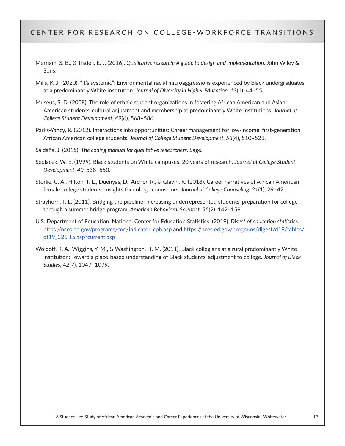- Merriam, S. B., & Tisdell, E. J. (2016). *Qualitative research: A guide to design and implementation.* John Wiley & Sons.
- Mills, K. J. (2020). "It's systemic": Environmental racial microaggressions experienced by Black undergraduates at a predominantly White institution. *Journal of Diversity in Higher Education, 13*(1), 44–55.
- Museus, S. D. (2008). The role of ethnic student organizations in fostering African American and Asian American students' cultural adjustment and membership at predominantly White institutions. *Journal of College Student Development, 49*(6), 568–586.
- Parks-Yancy, R. (2012). Interactions into opportunities: Career management for low-income, first-generation African American college students. *Journal of College Student Development, 53*(4), 510–523.
- Saldaña, J. (2015). *The coding manual for qualitative researchers.* Sage.
- Sedlacek, W. E. (1999). Black students on White campuses: 20 years of research. *Journal of College Student Development, 40,* 538–550.
- Storlie, C. A., Hilton, T. L., Duenyas, D., Archer, R., & Glavin, K. (2018). Career narratives of African American female college students: Insights for college counselors. *Journal of College Counseling, 21*(1), 29–42.
- Strayhorn, T. L. (2011). Bridging the pipeline: Increasing underrepresented students' preparation for college through a summer bridge program. *American Behavioral Scientist, 55*(2), 142–159.
- U.S. Department of Education, National Center for Education Statistics. (2019). *Digest of education statistics.*  [https://nces.ed.gov/programs/coe/indicator\\_cpb.asp](https://nces.ed.gov/programs/coe/indicator_cpb.asp) and [https://nces.ed.gov/programs/digest/d19/tables/](https://nces.ed.gov/programs/digest/d19/tables/dt19_326.15.asp?current.asp) [dt19\\_326.15.asp?current.asp](https://nces.ed.gov/programs/digest/d19/tables/dt19_326.15.asp?current.asp)
- Woldoff, R. A., Wiggins, Y. M., & Washington, H. M. (2011). Black collegians at a rural predominantly White institution: Toward a place-based understanding of Black students' adjustment to college. *Journal of Black Studies, 42*(7), 1047–1079.